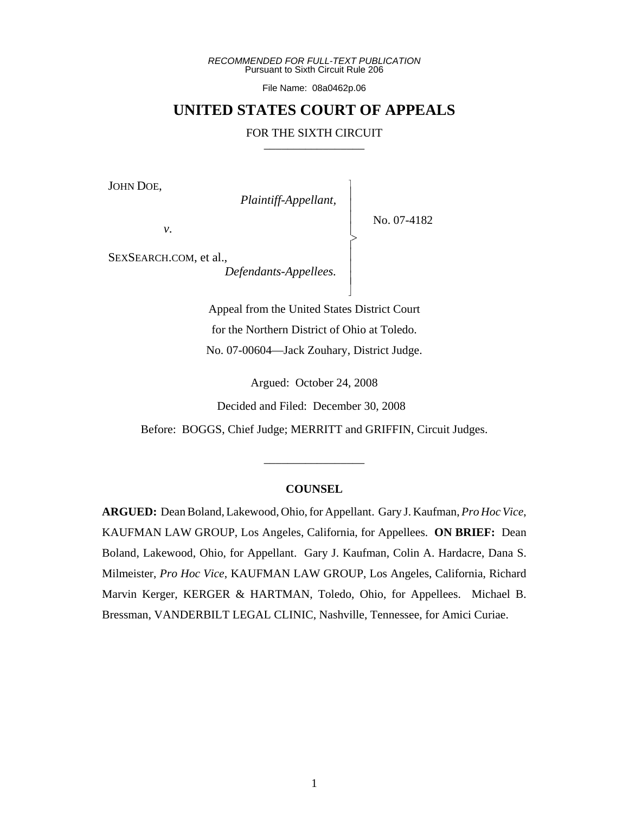*RECOMMENDED FOR FULL-TEXT PUBLICATION* Pursuant to Sixth Circuit Rule 206

File Name: 08a0462p.06

# **UNITED STATES COURT OF APPEALS**

### FOR THE SIXTH CIRCUIT

 $\overline{\phantom{a}}$ - - - > , - - - N

JOHN DOE,

*Plaintiff-Appellant,*

No. 07-4182

*v*.

SEXSEARCH.COM, et al.,

*Defendants-Appellees.*

Appeal from the United States District Court for the Northern District of Ohio at Toledo. No. 07-00604—Jack Zouhary, District Judge.

Argued: October 24, 2008

Decided and Filed: December 30, 2008

Before: BOGGS, Chief Judge; MERRITT and GRIFFIN, Circuit Judges.

\_\_\_\_\_\_\_\_\_\_\_\_\_\_\_\_\_

## **COUNSEL**

**ARGUED:** Dean Boland, Lakewood, Ohio, for Appellant. Gary J. Kaufman, *Pro Hoc Vice*, KAUFMAN LAW GROUP, Los Angeles, California, for Appellees. **ON BRIEF:** Dean Boland, Lakewood, Ohio, for Appellant. Gary J. Kaufman, Colin A. Hardacre, Dana S. Milmeister, *Pro Hoc Vice*, KAUFMAN LAW GROUP, Los Angeles, California, Richard Marvin Kerger, KERGER & HARTMAN, Toledo, Ohio, for Appellees. Michael B. Bressman, VANDERBILT LEGAL CLINIC, Nashville, Tennessee, for Amici Curiae.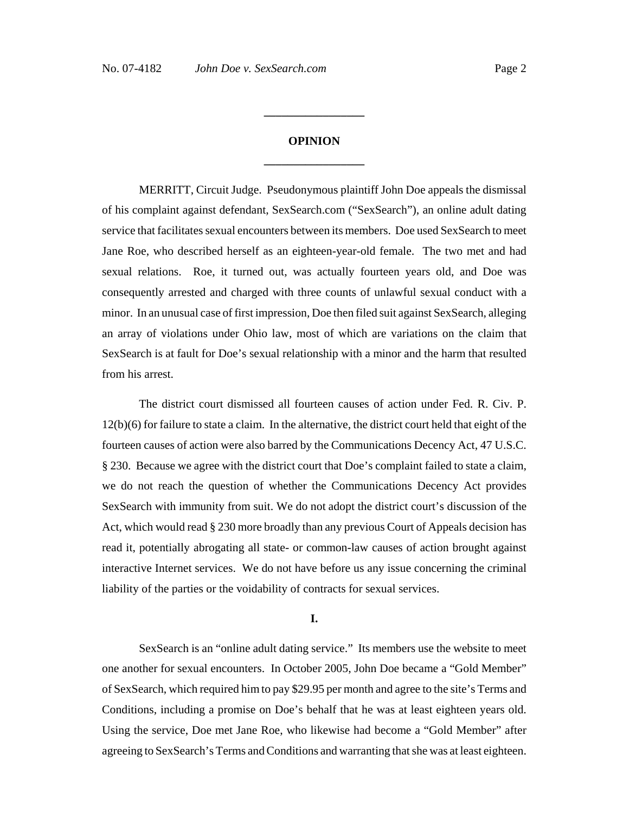# **OPINION \_\_\_\_\_\_\_\_\_\_\_\_\_\_\_\_\_**

**\_\_\_\_\_\_\_\_\_\_\_\_\_\_\_\_\_**

MERRITT, Circuit Judge. Pseudonymous plaintiff John Doe appeals the dismissal of his complaint against defendant, SexSearch.com ("SexSearch"), an online adult dating service that facilitates sexual encounters between its members. Doe used SexSearch to meet Jane Roe, who described herself as an eighteen-year-old female. The two met and had sexual relations. Roe, it turned out, was actually fourteen years old, and Doe was consequently arrested and charged with three counts of unlawful sexual conduct with a minor. In an unusual case of first impression, Doe then filed suit against SexSearch, alleging an array of violations under Ohio law, most of which are variations on the claim that SexSearch is at fault for Doe's sexual relationship with a minor and the harm that resulted from his arrest.

The district court dismissed all fourteen causes of action under Fed. R. Civ. P. 12(b)(6) for failure to state a claim. In the alternative, the district court held that eight of the fourteen causes of action were also barred by the Communications Decency Act, 47 U.S.C. § 230. Because we agree with the district court that Doe's complaint failed to state a claim, we do not reach the question of whether the Communications Decency Act provides SexSearch with immunity from suit. We do not adopt the district court's discussion of the Act, which would read § 230 more broadly than any previous Court of Appeals decision has read it, potentially abrogating all state- or common-law causes of action brought against interactive Internet services. We do not have before us any issue concerning the criminal liability of the parties or the voidability of contracts for sexual services.

### **I.**

SexSearch is an "online adult dating service." Its members use the website to meet one another for sexual encounters. In October 2005, John Doe became a "Gold Member" of SexSearch, which required him to pay \$29.95 per month and agree to the site's Terms and Conditions, including a promise on Doe's behalf that he was at least eighteen years old. Using the service, Doe met Jane Roe, who likewise had become a "Gold Member" after agreeing to SexSearch's Terms and Conditions and warranting that she was at least eighteen.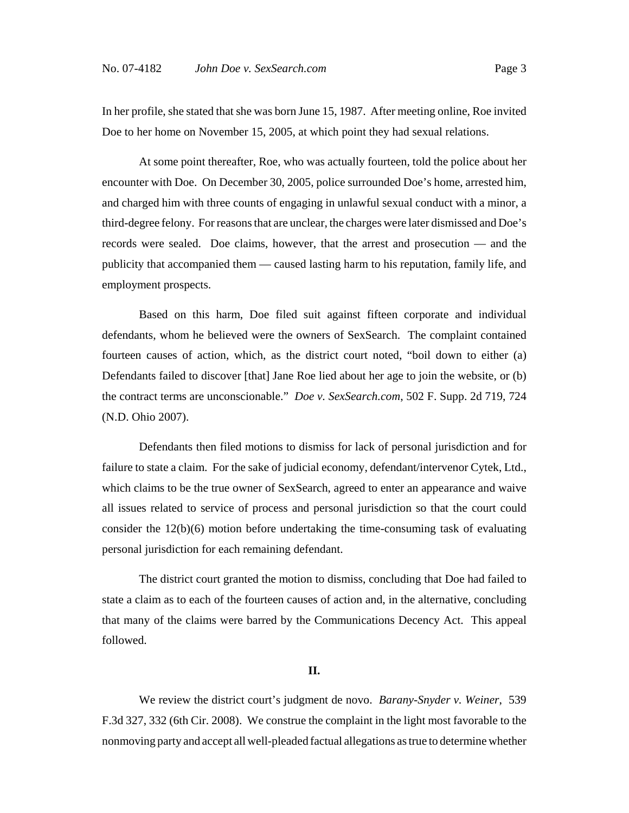In her profile, she stated that she was born June 15, 1987. After meeting online, Roe invited Doe to her home on November 15, 2005, at which point they had sexual relations.

At some point thereafter, Roe, who was actually fourteen, told the police about her encounter with Doe. On December 30, 2005, police surrounded Doe's home, arrested him, and charged him with three counts of engaging in unlawful sexual conduct with a minor, a third-degree felony. For reasons that are unclear, the charges were later dismissed and Doe's records were sealed. Doe claims, however, that the arrest and prosecution — and the publicity that accompanied them — caused lasting harm to his reputation, family life, and employment prospects.

Based on this harm, Doe filed suit against fifteen corporate and individual defendants, whom he believed were the owners of SexSearch. The complaint contained fourteen causes of action, which, as the district court noted, "boil down to either (a) Defendants failed to discover [that] Jane Roe lied about her age to join the website, or (b) the contract terms are unconscionable." *Doe v. SexSearch.com*, 502 F. Supp. 2d 719, 724 (N.D. Ohio 2007).

Defendants then filed motions to dismiss for lack of personal jurisdiction and for failure to state a claim. For the sake of judicial economy, defendant/intervenor Cytek, Ltd., which claims to be the true owner of SexSearch, agreed to enter an appearance and waive all issues related to service of process and personal jurisdiction so that the court could consider the 12(b)(6) motion before undertaking the time-consuming task of evaluating personal jurisdiction for each remaining defendant.

The district court granted the motion to dismiss, concluding that Doe had failed to state a claim as to each of the fourteen causes of action and, in the alternative, concluding that many of the claims were barred by the Communications Decency Act. This appeal followed.

#### **II.**

We review the district court's judgment de novo. *Barany-Snyder v. Weiner*, 539 F.3d 327, 332 (6th Cir. 2008). We construe the complaint in the light most favorable to the nonmoving party and accept all well-pleaded factual allegations as true to determine whether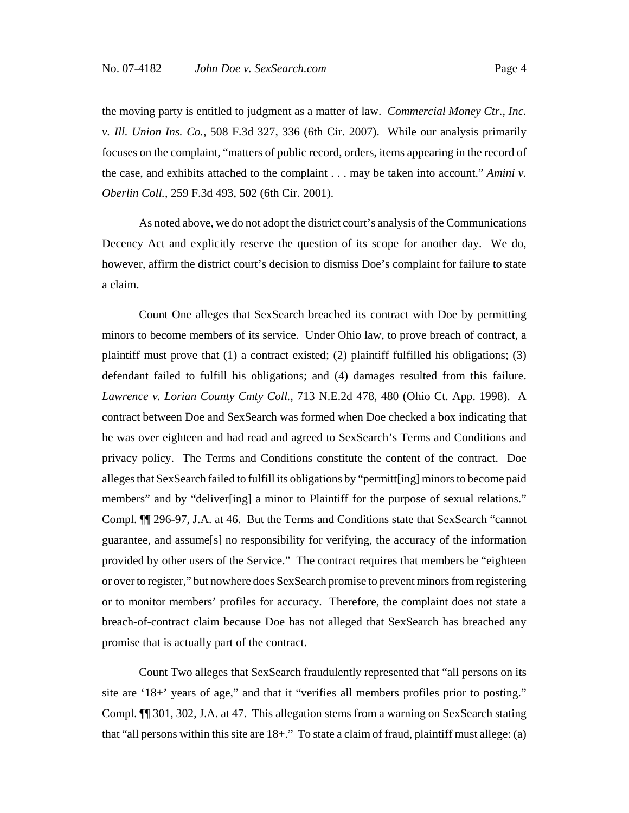the moving party is entitled to judgment as a matter of law. *Commercial Money Ctr., Inc. v. Ill. Union Ins. Co.*, 508 F.3d 327, 336 (6th Cir. 2007). While our analysis primarily focuses on the complaint, "matters of public record, orders, items appearing in the record of the case, and exhibits attached to the complaint . . . may be taken into account." *Amini v. Oberlin Coll.*, 259 F.3d 493, 502 (6th Cir. 2001).

As noted above, we do not adopt the district court's analysis of the Communications Decency Act and explicitly reserve the question of its scope for another day. We do, however, affirm the district court's decision to dismiss Doe's complaint for failure to state a claim.

Count One alleges that SexSearch breached its contract with Doe by permitting minors to become members of its service. Under Ohio law, to prove breach of contract, a plaintiff must prove that (1) a contract existed; (2) plaintiff fulfilled his obligations; (3) defendant failed to fulfill his obligations; and (4) damages resulted from this failure. *Lawrence v. Lorian County Cmty Coll.*, 713 N.E.2d 478, 480 (Ohio Ct. App. 1998). A contract between Doe and SexSearch was formed when Doe checked a box indicating that he was over eighteen and had read and agreed to SexSearch's Terms and Conditions and privacy policy. The Terms and Conditions constitute the content of the contract. Doe alleges that SexSearch failed to fulfill its obligations by "permitt[ing] minors to become paid members" and by "deliver[ing] a minor to Plaintiff for the purpose of sexual relations." Compl. ¶¶ 296-97, J.A. at 46. But the Terms and Conditions state that SexSearch "cannot guarantee, and assume[s] no responsibility for verifying, the accuracy of the information provided by other users of the Service." The contract requires that members be "eighteen or over to register," but nowhere does SexSearch promise to prevent minors from registering or to monitor members' profiles for accuracy. Therefore, the complaint does not state a breach-of-contract claim because Doe has not alleged that SexSearch has breached any promise that is actually part of the contract.

Count Two alleges that SexSearch fraudulently represented that "all persons on its site are '18+' years of age," and that it "verifies all members profiles prior to posting." Compl. ¶¶ 301, 302, J.A. at 47. This allegation stems from a warning on SexSearch stating that "all persons within this site are 18+." To state a claim of fraud, plaintiff must allege: (a)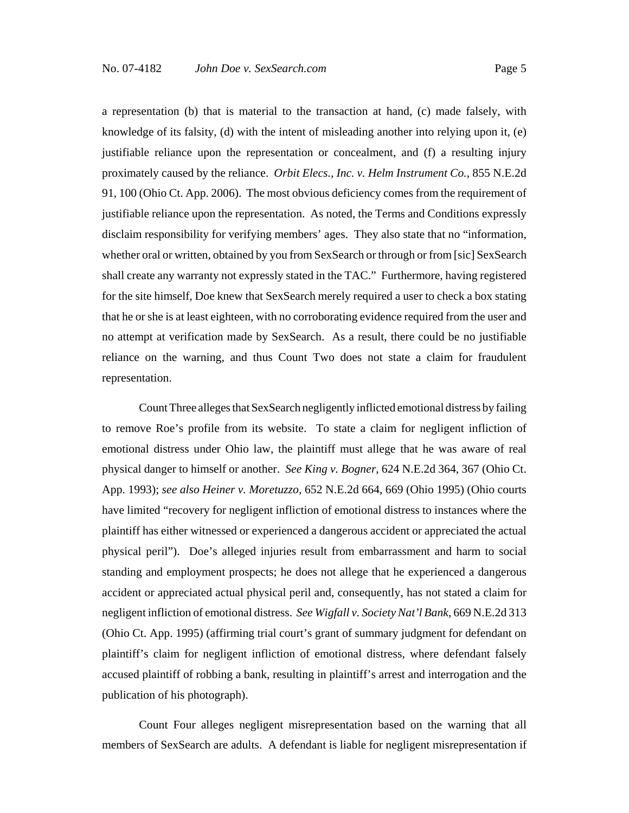a representation (b) that is material to the transaction at hand, (c) made falsely, with knowledge of its falsity, (d) with the intent of misleading another into relying upon it, (e) justifiable reliance upon the representation or concealment, and (f) a resulting injury proximately caused by the reliance. *Orbit Elecs., Inc. v. Helm Instrument Co.*, 855 N.E.2d 91, 100 (Ohio Ct. App. 2006). The most obvious deficiency comes from the requirement of justifiable reliance upon the representation. As noted, the Terms and Conditions expressly disclaim responsibility for verifying members' ages. They also state that no "information, whether oral or written, obtained by you from SexSearch or through or from [sic] SexSearch shall create any warranty not expressly stated in the TAC." Furthermore, having registered for the site himself, Doe knew that SexSearch merely required a user to check a box stating that he or she is at least eighteen, with no corroborating evidence required from the user and no attempt at verification made by SexSearch. As a result, there could be no justifiable reliance on the warning, and thus Count Two does not state a claim for fraudulent representation.

Count Three alleges that SexSearch negligently inflicted emotional distress by failing to remove Roe's profile from its website. To state a claim for negligent infliction of emotional distress under Ohio law, the plaintiff must allege that he was aware of real physical danger to himself or another. *See King v. Bogner*, 624 N.E.2d 364, 367 (Ohio Ct. App. 1993); *see also Heiner v. Moretuzzo*, 652 N.E.2d 664, 669 (Ohio 1995) (Ohio courts have limited "recovery for negligent infliction of emotional distress to instances where the plaintiff has either witnessed or experienced a dangerous accident or appreciated the actual physical peril"). Doe's alleged injuries result from embarrassment and harm to social standing and employment prospects; he does not allege that he experienced a dangerous accident or appreciated actual physical peril and, consequently, has not stated a claim for negligent infliction of emotional distress. *See Wigfall v. Society Nat'l Bank*, 669 N.E.2d 313 (Ohio Ct. App. 1995) (affirming trial court's grant of summary judgment for defendant on plaintiff's claim for negligent infliction of emotional distress, where defendant falsely accused plaintiff of robbing a bank, resulting in plaintiff's arrest and interrogation and the publication of his photograph).

Count Four alleges negligent misrepresentation based on the warning that all members of SexSearch are adults. A defendant is liable for negligent misrepresentation if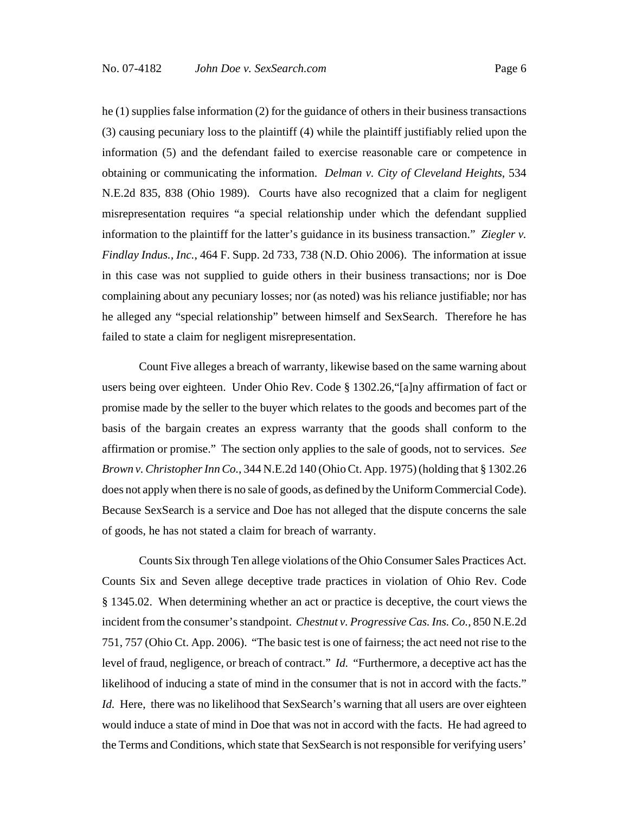he (1) supplies false information (2) for the guidance of others in their business transactions (3) causing pecuniary loss to the plaintiff (4) while the plaintiff justifiably relied upon the information (5) and the defendant failed to exercise reasonable care or competence in obtaining or communicating the information. *Delman v. City of Cleveland Heights*, 534 N.E.2d 835, 838 (Ohio 1989). Courts have also recognized that a claim for negligent misrepresentation requires "a special relationship under which the defendant supplied information to the plaintiff for the latter's guidance in its business transaction." *Ziegler v. Findlay Indus., Inc.*, 464 F. Supp. 2d 733, 738 (N.D. Ohio 2006). The information at issue in this case was not supplied to guide others in their business transactions; nor is Doe complaining about any pecuniary losses; nor (as noted) was his reliance justifiable; nor has he alleged any "special relationship" between himself and SexSearch. Therefore he has failed to state a claim for negligent misrepresentation.

Count Five alleges a breach of warranty, likewise based on the same warning about users being over eighteen. Under Ohio Rev. Code § 1302.26,"[a]ny affirmation of fact or promise made by the seller to the buyer which relates to the goods and becomes part of the basis of the bargain creates an express warranty that the goods shall conform to the affirmation or promise." The section only applies to the sale of goods, not to services. *See Brown v. Christopher Inn Co.*, 344 N.E.2d 140 (Ohio Ct. App. 1975) (holding that § 1302.26 does not apply when there is no sale of goods, as defined by the Uniform Commercial Code). Because SexSearch is a service and Doe has not alleged that the dispute concerns the sale of goods, he has not stated a claim for breach of warranty.

Counts Six through Ten allege violations of the Ohio Consumer Sales Practices Act. Counts Six and Seven allege deceptive trade practices in violation of Ohio Rev. Code § 1345.02. When determining whether an act or practice is deceptive, the court views the incident from the consumer's standpoint. *Chestnut v. Progressive Cas. Ins. Co.*, 850 N.E.2d 751, 757 (Ohio Ct. App. 2006). "The basic test is one of fairness; the act need not rise to the level of fraud, negligence, or breach of contract." *Id.* "Furthermore, a deceptive act has the likelihood of inducing a state of mind in the consumer that is not in accord with the facts." *Id.* Here, there was no likelihood that SexSearch's warning that all users are over eighteen would induce a state of mind in Doe that was not in accord with the facts. He had agreed to the Terms and Conditions, which state that SexSearch is not responsible for verifying users'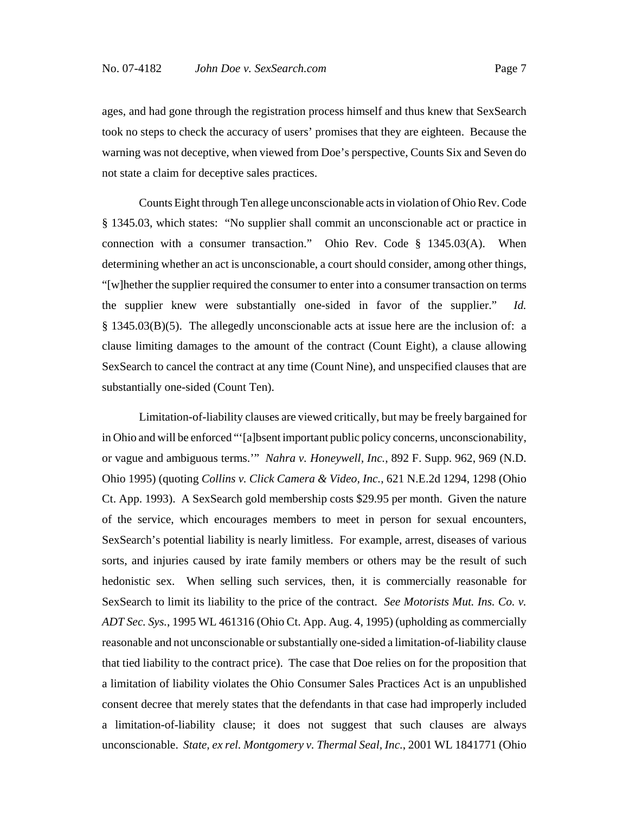ages, and had gone through the registration process himself and thus knew that SexSearch took no steps to check the accuracy of users' promises that they are eighteen. Because the warning was not deceptive, when viewed from Doe's perspective, Counts Six and Seven do not state a claim for deceptive sales practices.

Counts Eight through Ten allege unconscionable acts in violation of Ohio Rev. Code § 1345.03, which states: "No supplier shall commit an unconscionable act or practice in connection with a consumer transaction." Ohio Rev. Code § 1345.03(A). When determining whether an act is unconscionable, a court should consider, among other things, "[w]hether the supplier required the consumer to enter into a consumer transaction on terms the supplier knew were substantially one-sided in favor of the supplier." *Id.* § 1345.03(B)(5). The allegedly unconscionable acts at issue here are the inclusion of: a clause limiting damages to the amount of the contract (Count Eight), a clause allowing SexSearch to cancel the contract at any time (Count Nine), and unspecified clauses that are substantially one-sided (Count Ten).

Limitation-of-liability clauses are viewed critically, but may be freely bargained for in Ohio and will be enforced "'[a]bsent important public policy concerns, unconscionability, or vague and ambiguous terms.'" *Nahra v. Honeywell, Inc.*, 892 F. Supp. 962, 969 (N.D. Ohio 1995) (quoting *Collins v. Click Camera & Video, Inc.*, 621 N.E.2d 1294, 1298 (Ohio Ct. App. 1993). A SexSearch gold membership costs \$29.95 per month. Given the nature of the service, which encourages members to meet in person for sexual encounters, SexSearch's potential liability is nearly limitless. For example, arrest, diseases of various sorts, and injuries caused by irate family members or others may be the result of such hedonistic sex. When selling such services, then, it is commercially reasonable for SexSearch to limit its liability to the price of the contract. *See Motorists Mut. Ins. Co. v. ADT Sec. Sys.*, 1995 WL 461316 (Ohio Ct. App. Aug. 4, 1995) (upholding as commercially reasonable and not unconscionable or substantially one-sided a limitation-of-liability clause that tied liability to the contract price). The case that Doe relies on for the proposition that a limitation of liability violates the Ohio Consumer Sales Practices Act is an unpublished consent decree that merely states that the defendants in that case had improperly included a limitation-of-liability clause; it does not suggest that such clauses are always unconscionable. *State, ex rel. Montgomery v. Thermal Seal, Inc.*, 2001 WL 1841771 (Ohio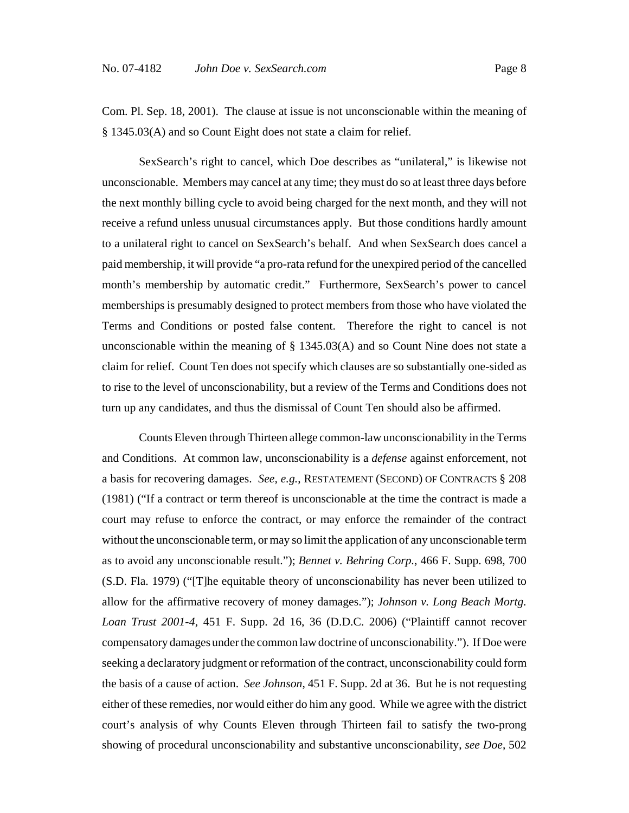Com. Pl. Sep. 18, 2001). The clause at issue is not unconscionable within the meaning of § 1345.03(A) and so Count Eight does not state a claim for relief.

SexSearch's right to cancel, which Doe describes as "unilateral," is likewise not unconscionable. Members may cancel at any time; they must do so at least three days before the next monthly billing cycle to avoid being charged for the next month, and they will not receive a refund unless unusual circumstances apply. But those conditions hardly amount to a unilateral right to cancel on SexSearch's behalf. And when SexSearch does cancel a paid membership, it will provide "a pro-rata refund for the unexpired period of the cancelled month's membership by automatic credit." Furthermore, SexSearch's power to cancel memberships is presumably designed to protect members from those who have violated the Terms and Conditions or posted false content. Therefore the right to cancel is not unconscionable within the meaning of  $\S$  1345.03(A) and so Count Nine does not state a claim for relief. Count Ten does not specify which clauses are so substantially one-sided as to rise to the level of unconscionability, but a review of the Terms and Conditions does not turn up any candidates, and thus the dismissal of Count Ten should also be affirmed.

Counts Eleven through Thirteen allege common-law unconscionability in the Terms and Conditions. At common law, unconscionability is a *defense* against enforcement, not a basis for recovering damages. *See, e.g.*, RESTATEMENT (SECOND) OF CONTRACTS § 208 (1981) ("If a contract or term thereof is unconscionable at the time the contract is made a court may refuse to enforce the contract, or may enforce the remainder of the contract without the unconscionable term, or may so limit the application of any unconscionable term as to avoid any unconscionable result."); *Bennet v. Behring Corp.*, 466 F. Supp. 698, 700 (S.D. Fla. 1979) ("[T]he equitable theory of unconscionability has never been utilized to allow for the affirmative recovery of money damages."); *Johnson v. Long Beach Mortg. Loan Trust 2001-4*, 451 F. Supp. 2d 16, 36 (D.D.C. 2006) ("Plaintiff cannot recover compensatory damages under the common law doctrine of unconscionability."). If Doe were seeking a declaratory judgment or reformation of the contract, unconscionability could form the basis of a cause of action. *See Johnson*, 451 F. Supp. 2d at 36. But he is not requesting either of these remedies, nor would either do him any good. While we agree with the district court's analysis of why Counts Eleven through Thirteen fail to satisfy the two-prong showing of procedural unconscionability and substantive unconscionability, *see Doe*, 502